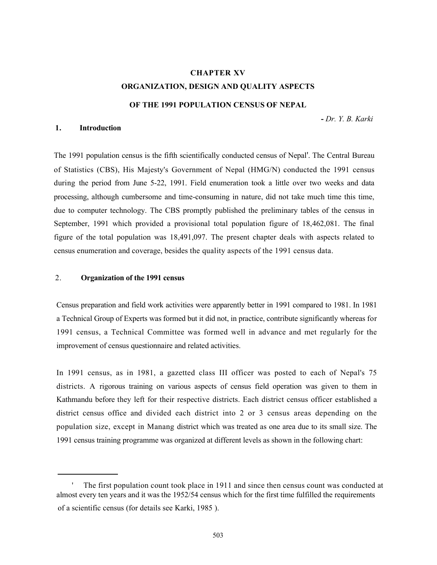# CHAPTER XV ORGANIZATION, DESIGN AND QUALITY ASPECTS

#### OF THE 1991 POPULATION CENSUS OF NEPAL

- Dr. Y. B. Karki

# 1. Introduction

The 1991 population census is the fifth scientifically conducted census of Nepal'. The Central Bureau of Statistics (CBS), His Majesty's Government of Nepal (HMG/N) conducted the 1991 census during the period from June 5-22, 1991. Field enumeration took a little over two weeks and data processing, although cumbersome and time-consuming in nature, did not take much time this time, due to computer technology. The CBS promptly published the preliminary tables of the census in September, 1991 which provided a provisional total population figure of 18,462,081. The final figure of the total population was 18,491,097. The present chapter deals with aspects related to census enumeration and coverage, besides the quality aspects of the 1991 census data.

#### 2. Organization of the 1991 census

Census preparation and field work activities were apparently better in 1991 compared to 1981. In 1981 a Technical Group of Experts was formed but it did not, in practice, contribute significantly whereas for 1991 census, a Technical Committee was formed well in advance and met regularly for the improvement of census questionnaire and related activities.

In 1991 census, as in 1981, a gazetted class III officer was posted to each of Nepal's 75 districts. A rigorous training on various aspects of census field operation was given to them in Kathmandu before they left for their respective districts. Each district census officer established a district census office and divided each district into 2 or 3 census areas depending on the population size, except in Manang district which was treated as one area due to its small size. The 1991 census training programme was organized at different levels as shown in the following chart:

The first population count took place in 1911 and since then census count was conducted at almost every ten years and it was the 1952/54 census which for the first time fulfilled the requirements of a scientific census (for details see Karki, 1985 ).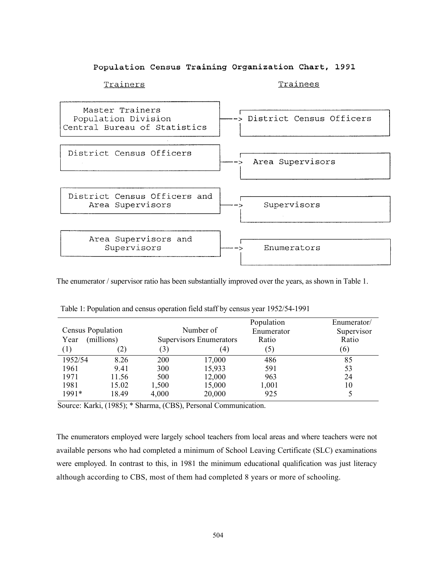# Population Census Training Organization Chart, 1991



The enumerator / supervisor ratio has been substantially improved over the years, as shown in Table 1.

|                   |            |       |                         | Population | Enumerator/ |
|-------------------|------------|-------|-------------------------|------------|-------------|
| Census Population |            |       | Number of               | Enumerator | Supervisor  |
| Year              | (millions) |       | Supervisors Enumerators | Ratio      | Ratio       |
| (1)               | (2)        | (3)   | 4)                      | (5)        | (6)         |
| 1952/54           | 8.26       | 200   | 17,000                  | 486        | 85          |
| 1961              | 9.41       | 300   | 15,933                  | 591        | 53          |
| 1971              | 11.56      | 500   | 12,000                  | 963        | 24          |
| 1981              | 15.02      | 1,500 | 15,000                  | 1,001      | 10          |
| $1991*$           | 18.49      | 4,000 | 20,000                  | 925        |             |

Table 1: Population and census operation field staff by census year 1952/54-1991

Source: Karki, (1985); \* Sharma, (CBS), Personal Communication.

The enumerators employed were largely school teachers from local areas and where teachers were not available persons who had completed a minimum of School Leaving Certificate (SLC) examinations were employed. In contrast to this, in 1981 the minimum educational qualification was just literacy although according to CBS, most of them had completed 8 years or more of schooling.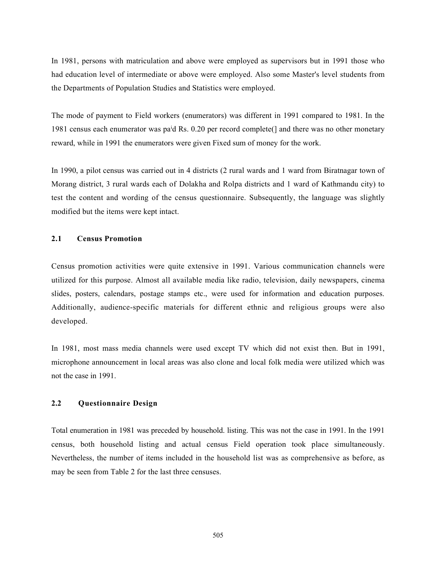In 1981, persons with matriculation and above were employed as supervisors but in 1991 those who had education level of intermediate or above were employed. Also some Master's level students from the Departments of Population Studies and Statistics were employed.

The mode of payment to Field workers (enumerators) was different in 1991 compared to 1981. In the 1981 census each enumerator was pa<sup>i</sup>d Rs. 0.20 per record complete(] and there was no other monetary reward, while in 1991 the enumerators were given Fixed sum of money for the work.

In 1990, a pilot census was carried out in 4 districts (2 rural wards and 1 ward from Biratnagar town of Morang district, 3 rural wards each of Dolakha and Rolpa districts and 1 ward of Kathmandu city) to test the content and wording of the census questionnaire. Subsequently, the language was slightly modified but the items were kept intact.

#### 2.1 Census Promotion

Census promotion activities were quite extensive in 1991. Various communication channels were utilized for this purpose. Almost all available media like radio, television, daily newspapers, cinema slides, posters, calendars, postage stamps etc., were used for information and education purposes. Additionally, audience-specific materials for different ethnic and religious groups were also developed.

In 1981, most mass media channels were used except TV which did not exist then. But in 1991, microphone announcement in local areas was also clone and local folk media were utilized which was not the case in 1991.

#### 2.2 Questionnaire Design

Total enumeration in 1981 was preceded by household. listing. This was not the case in 1991. In the 1991 census, both household listing and actual census Field operation took place simultaneously. Nevertheless, the number of items included in the household list was as comprehensive as before, as may be seen from Table 2 for the last three censuses.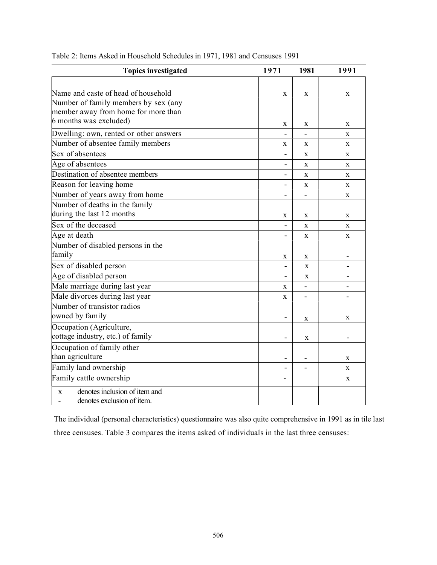| <b>Topics investigated</b>             | 1971                         | 1981        | 1991                         |
|----------------------------------------|------------------------------|-------------|------------------------------|
|                                        |                              |             |                              |
| Name and caste of head of household    | X                            | $\mathbf X$ | X                            |
| Number of family members by sex (any   |                              |             |                              |
| member away from home for more than    |                              |             |                              |
| 6 months was excluded)                 | X                            | X           | X                            |
| Dwelling: own, rented or other answers |                              |             | $\mathbf X$                  |
| Number of absentee family members      | X                            | X           | X                            |
| Sex of absentees                       |                              | X           | X                            |
| Age of absentees                       | $\overline{\phantom{0}}$     | X           | X                            |
| Destination of absentee members        | $\overline{\phantom{0}}$     | $\mathbf X$ | X                            |
| Reason for leaving home                | ÷,                           | X           | X                            |
| Number of years away from home         |                              |             | X                            |
| Number of deaths in the family         |                              |             |                              |
| during the last 12 months              | X                            | X           | X                            |
| Sex of the deceased                    | $\qquad \qquad \blacksquare$ | $\mathbf X$ | X                            |
| Age at death                           |                              | X           | X                            |
| Number of disabled persons in the      |                              |             |                              |
| family                                 | X                            | X           |                              |
| Sex of disabled person                 | $\overline{\phantom{0}}$     | X           | -                            |
| Age of disabled person                 | $\qquad \qquad \blacksquare$ | X           | $\qquad \qquad \blacksquare$ |
| Male marriage during last year         | X                            |             |                              |
| Male divorces during last year         | X                            |             |                              |
| Number of transistor radios            |                              |             |                              |
| owned by family                        | $\overline{\phantom{0}}$     | X           | X                            |
| Occupation (Agriculture,               |                              |             |                              |
| cottage industry, etc.) of family      | ٠                            | X           |                              |
| Occupation of family other             |                              |             |                              |
| than agriculture                       | $\qquad \qquad \blacksquare$ | -           | X                            |
| Family land ownership                  | $\blacksquare$               | -           | X                            |
| Family cattle ownership                |                              |             | X                            |
| denotes inclusion of item and<br>X     |                              |             |                              |
| denotes exclusion of item.             |                              |             |                              |

Table 2: Items Asked in Household Schedules in 1971, 1981 and Censuses 1991

The individual (personal characteristics) questionnaire was also quite comprehensive in 1991 as in tile last three censuses. Table 3 compares the items asked of individuals in the last three censuses: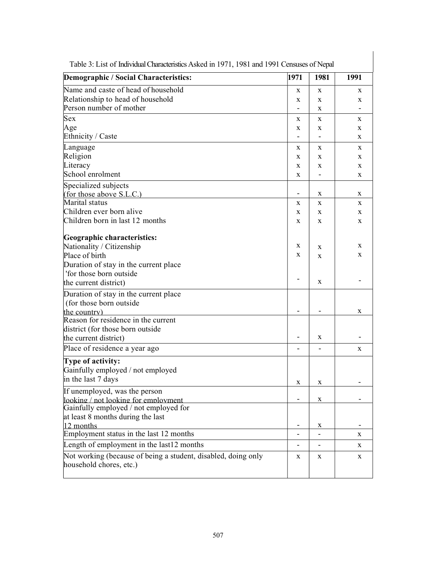| Demographic / Social Characteristics:                         | 1971                     | 1981                     | 1991 |
|---------------------------------------------------------------|--------------------------|--------------------------|------|
| Name and caste of head of household                           | X                        | X                        | X    |
| Relationship to head of household                             | X                        | X                        | X    |
| Person number of mother                                       |                          | X                        |      |
| Sex                                                           | X                        | X                        | X    |
| Age                                                           | X                        | X                        | X    |
| Ethnicity / Caste                                             | $\overline{\phantom{0}}$ | $\overline{\phantom{a}}$ | X    |
| Language                                                      | X                        | X                        | X    |
| Religion                                                      | X                        | X                        | X    |
| Literacy                                                      | X                        | X                        | X    |
| School enrolment                                              | X                        | $\overline{\phantom{a}}$ | X    |
| Specialized subjects                                          |                          |                          |      |
| (for those above S.L.C.)                                      |                          | X                        | X    |
| Marital status                                                | X                        | X                        | X    |
| Children ever born alive                                      | X                        | X                        | X    |
| Children born in last 12 months                               | X                        | X                        | X    |
| Geographic characteristics:                                   |                          |                          |      |
| Nationality / Citizenship                                     | X                        | X                        | X    |
| Place of birth                                                | X                        | X                        | X    |
| Duration of stay in the current place                         |                          |                          |      |
| 'for those born outside                                       |                          |                          |      |
| the current district)                                         |                          | X                        |      |
| Duration of stay in the current place                         |                          |                          |      |
| (for those born outside)                                      |                          |                          |      |
| the country)                                                  |                          |                          | X    |
| Reason for residence in the current                           |                          |                          |      |
| district (for those born outside                              |                          |                          |      |
| the current district)                                         |                          | X                        |      |
| Place of residence a year ago                                 |                          |                          | X    |
| Type of activity:                                             |                          |                          |      |
| Gainfully employed / not employed                             |                          |                          |      |
| in the last 7 days                                            | X                        | X                        |      |
| If unemployed, was the person                                 |                          |                          |      |
| looking / not looking for employment                          |                          | X                        |      |
| Gainfully employed / not employed for                         |                          |                          |      |
| at least 8 months during the last                             |                          |                          |      |
| 12 months                                                     |                          | X                        |      |
| Employment status in the last 12 months                       |                          |                          | X    |
| Length of employment in the last12 months                     |                          |                          | X    |
| Not working (because of being a student, disabled, doing only | X                        | X                        | X    |
| household chores, etc.)                                       |                          |                          |      |
|                                                               |                          |                          |      |

Table 3: List of Individual Characteristics Asked in 1971, 1981 and 1991 Censuses of Nepal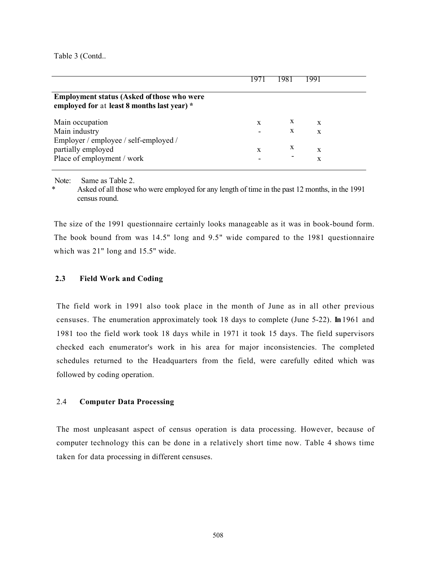Table 3 (Contd..

|   |   | 1991 |
|---|---|------|
|   |   |      |
| X | X | X    |
|   | X | X    |
|   |   |      |
| X | X | X    |
|   |   | X    |
|   |   |      |

Note: Same as Table 2.

Asked of all those who were employed for any length of time in the past 12 months, in the 1991 census round.

The size of the 1991 questionnaire certainly looks manageable as it was in book-bound form. The book bound from was 14.5" long and 9.5" wide compared to the 1981 questionnaire which was 21" long and 15.5" wide.

# 2.3 Field Work and Coding

The field work in 1991 also took place in the month of June as in all other previous censuses. The enumeration approximately took 18 days to complete (June 5-22). In 1961 and 1981 too the field work took 18 days while in 1971 it took 15 days. The field supervisors checked each enumerator's work in his area for major inconsistencies. The completed schedules returned to the Headquarters from the field, were carefully edited which was followed by coding operation.

# 2.4 Computer Data Processing

The most unpleasant aspect of census operation is data processing. However, because of computer technology this can be done in a relatively short time now. Table 4 shows time taken for data processing in different censuses.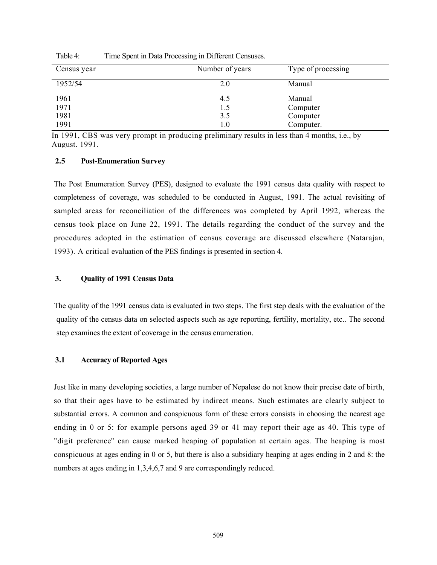| Census year | Number of years | Type of processing |
|-------------|-----------------|--------------------|
| 1952/54     | 2.0             | Manual             |
| 1961        | 4.5             | Manual             |
| 1971        | 1.5             | Computer           |
| 1981        | 3.5             | Computer           |
| 1991        | $1.0\,$         | Computer.          |

Table 4: Time Spent in Data Processing in Different Censuses.

In 1991, CBS was very prompt in producing preliminary results in less than 4 months, i.e., by August. 1991.

#### 2.5 Post-Enumeration Survey

The Post Enumeration Survey (PES), designed to evaluate the 1991 census data quality with respect to completeness of coverage, was scheduled to be conducted in August, 1991. The actual revisiting of sampled areas for reconciliation of the differences was completed by April 1992, whereas the census took place on June 22, 1991. The details regarding the conduct of the survey and the procedures adopted in the estimation of census coverage are discussed elsewhere (Natarajan, 1993). A critical evaluation of the PES findings is presented in section 4.

### 3. Quality of 1991 Census Data

The quality of the 1991 census data is evaluated in two steps. The first step deals with the evaluation of the quality of the census data on selected aspects such as age reporting, fertility, mortality, etc.. The second step examines the extent of coverage in the census enumeration.

#### 3.1 Accuracy of Reported Ages

Just like in many developing societies, a large number of Nepalese do not know their precise date of birth, so that their ages have to be estimated by indirect means. Such estimates are clearly subject to substantial errors. A common and conspicuous form of these errors consists in choosing the nearest age ending in 0 or 5: for example persons aged 39 or 41 may report their age as 40. This type of "digit preference" can cause marked heaping of population at certain ages. The heaping is most conspicuous at ages ending in 0 or 5, but there is also a subsidiary heaping at ages ending in 2 and 8: the numbers at ages ending in 1,3,4,6,7 and 9 are correspondingly reduced.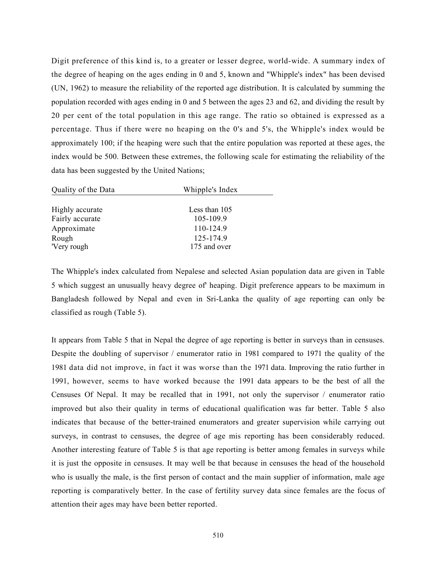Digit preference of this kind is, to a greater or lesser degree, world-wide. A summary index of the degree of heaping on the ages ending in 0 and 5, known and "Whipple's index" has been devised (UN, 1962) to measure the reliability of the reported age distribution. It is calculated by summing the population recorded with ages ending in 0 and 5 between the ages 23 and 62, and dividing the result by 20 per cent of the total population in this age range. The ratio so obtained is expressed as a percentage. Thus if there were no heaping on the 0's and 5's, the Whipple's index would be approximately 100; if the heaping were such that the entire population was reported at these ages, the index would be 500. Between these extremes, the following scale for estimating the reliability of the data has been suggested by the United Nations;

| Quality of the Data | Whipple's Index |
|---------------------|-----------------|
|                     |                 |
| Highly accurate     | Less than 105   |
| Fairly accurate     | 105-109.9       |
| Approximate         | 110-124.9       |
| Rough               | 125-174.9       |
| 'Very rough         | 175 and over    |

The Whipple's index calculated from Nepalese and selected Asian population data are given in Table 5 which suggest an unusually heavy degree of' heaping. Digit preference appears to be maximum in Bangladesh followed by Nepal and even in Sri-Lanka the quality of age reporting can only be classified as rough (Table 5).

It appears from Table 5 that in Nepal the degree of age reporting is better in surveys than in censuses. Despite the doubling of supervisor / enumerator ratio in 1981 compared to 1971 the quality of the 1981 data did not improve, in fact it was worse than the 1971 data. Improving the ratio further in 1991, however, seems to have worked because the 1991 data appears to be the best of all the Censuses Of Nepal. It may be recalled that in 1991, not only the supervisor / enumerator ratio improved but also their quality in terms of educational qualification was far better. Table 5 also indicates that because of the better-trained enumerators and greater supervision while carrying out surveys, in contrast to censuses, the degree of age mis reporting has been considerably reduced. Another interesting feature of Table 5 is that age reporting is better among females in surveys while it is just the opposite in censuses. It may well be that because in censuses the head of the household who is usually the male, is the first person of contact and the main supplier of information, male age reporting is comparatively better. In the case of fertility survey data since females are the focus of attention their ages may have been better reported.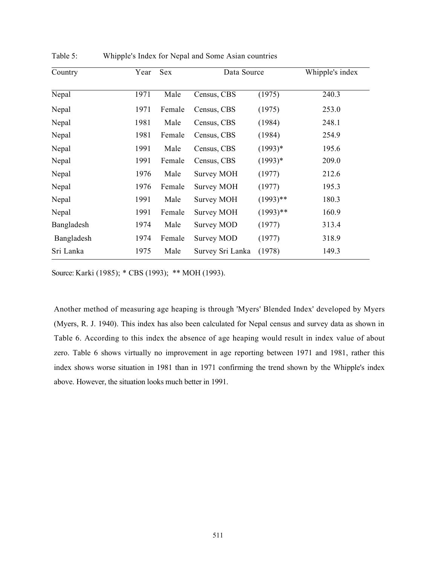| Country    | Year | <b>Sex</b> | Data Source       |             | Whipple's index |
|------------|------|------------|-------------------|-------------|-----------------|
| Nepal      | 1971 | Male       | Census, CBS       | (1975)      | 240.3           |
| Nepal      | 1971 | Female     | Census, CBS       | (1975)      | 253.0           |
| Nepal      | 1981 | Male       | Census, CBS       | (1984)      | 248.1           |
| Nepal      | 1981 | Female     | Census, CBS       | (1984)      | 254.9           |
| Nepal      | 1991 | Male       | Census, CBS       | $(1993)*$   | 195.6           |
| Nepal      | 1991 | Female     | Census, CBS       | $(1993)*$   | 209.0           |
| Nepal      | 1976 | Male       | Survey MOH        | (1977)      | 212.6           |
| Nepal      | 1976 | Female     | <b>Survey MOH</b> | (1977)      | 195.3           |
| Nepal      | 1991 | Male       | Survey MOH        | $(1993)$ ** | 180.3           |
| Nepal      | 1991 | Female     | Survey MOH        | $(1993)$ ** | 160.9           |
| Bangladesh | 1974 | Male       | Survey MOD        | (1977)      | 313.4           |
| Bangladesh | 1974 | Female     | Survey MOD        | (1977)      | 318.9           |
| Sri Lanka  | 1975 | Male       | Survey Sri Lanka  | (1978)      | 149.3           |

Table 5: Whipple's Index for Nepal and Some Asian countries

Source: Karki (1985); \* CBS (1993); \*\* MOH (1993).

Another method of measuring age heaping is through 'Myers' Blended Index' developed by Myers (Myers, R. J. 1940). This index has also been calculated for Nepal census and survey data as shown in Table 6. According to this index the absence of age heaping would result in index value of about zero. Table 6 shows virtually no improvement in age reporting between 1971 and 1981, rather this index shows worse situation in 1981 than in 1971 confirming the trend shown by the Whipple's index above. However, the situation looks much better in 1991.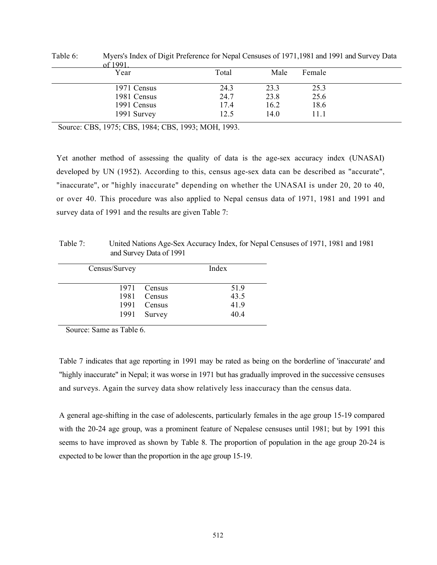| $\tilde{}$<br>of 1991 |       |      |        |  |
|-----------------------|-------|------|--------|--|
| Year                  | Total | Male | Female |  |
| 1971 Census           | 24.3  | 23.3 | 25.3   |  |
| 1981 Census           | 24.7  | 23.8 | 25.6   |  |
| 1991 Census           | 17.4  | 16.2 | 18.6   |  |
| 1991 Survey           | 12.5  | 14.0 | 11.1   |  |

Table 6: Myers's Index of Digit Preference for Nepal Censuses of 1971,1981 and 1991 and Survey Data

Source: CBS, 1975; CBS, 1984; CBS, 1993; MOH, 1993.

Yet another method of assessing the quality of data is the age-sex accuracy index (UNASAI) developed by UN (1952). According to this, census age-sex data can be described as "accurate", "inaccurate", or "highly inaccurate" depending on whether the UNASAI is under 20, 20 to 40, or over 40. This procedure was also applied to Nepal census data of 1971, 1981 and 1991 and survey data of 1991 and the results are given Table 7:

Table 7: United Nations Age-Sex Accuracy Index, for Nepal Censuses of 1971, 1981 and 1981 and Survey Data of 1991

| Index                                               |  |
|-----------------------------------------------------|--|
| 51.9                                                |  |
| 43.5                                                |  |
| 41.9                                                |  |
| 40.4                                                |  |
| 1971 Census<br>1981 Census<br>1991 Census<br>Survey |  |

Source: Same as Table 6.

Table 7 indicates that age reporting in 1991 may be rated as being on the borderline of 'inaccurate' and "highly inaccurate" in Nepal; it was worse in 1971 but has gradually improved in the successive censuses and surveys. Again the survey data show relatively less inaccuracy than the census data.

A general age-shifting in the case of adolescents, particularly females in the age group 15-19 compared with the 20-24 age group, was a prominent feature of Nepalese censuses until 1981; but by 1991 this seems to have improved as shown by Table 8. The proportion of population in the age group 20-24 is expected to be lower than the proportion in the age group 15-19.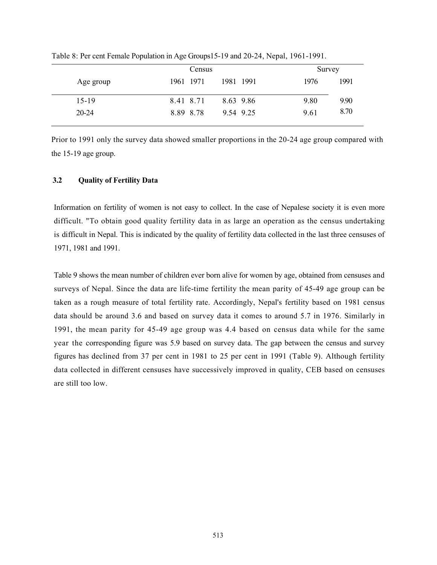|           | Census                 | Survey       |
|-----------|------------------------|--------------|
| Age group | 1981 1991<br>1961 1971 | 1991<br>1976 |
| $15-19$   | 8.41 8.71<br>8.63 9.86 | 9.80<br>9.90 |
| $20 - 24$ | 8.89 8.78<br>9.54 9.25 | 8.70<br>9.61 |

Table 8: Per cent Female Population in Age Groups15-19 and 20-24, Nepal, 1961-1991.

Prior to 1991 only the survey data showed smaller proportions in the 20-24 age group compared with the 15-19 age group.

# 3.2 Quality of Fertility Data

Information on fertility of women is not easy to collect. In the case of Nepalese society it is even more difficult. "To obtain good quality fertility data in as large an operation as the census undertaking is difficult in Nepal. This is indicated by the quality of fertility data collected in the last three censuses of 1971, 1981 and 1991.

Table 9 shows the mean number of children ever born alive for women by age, obtained from censuses and surveys of Nepal. Since the data are life-time fertility the mean parity of 45-49 age group can be taken as a rough measure of total fertility rate. Accordingly, Nepal's fertility based on 1981 census data should be around 3.6 and based on survey data it comes to around 5.7 in 1976. Similarly in 1991, the mean parity for 45-49 age group was 4.4 based on census data while for the same year the corresponding figure was 5.9 based on survey data. The gap between the census and survey figures has declined from 37 per cent in 1981 to 25 per cent in 1991 (Table 9). Although fertility data collected in different censuses have successively improved in quality, CEB based on censuses are still too low.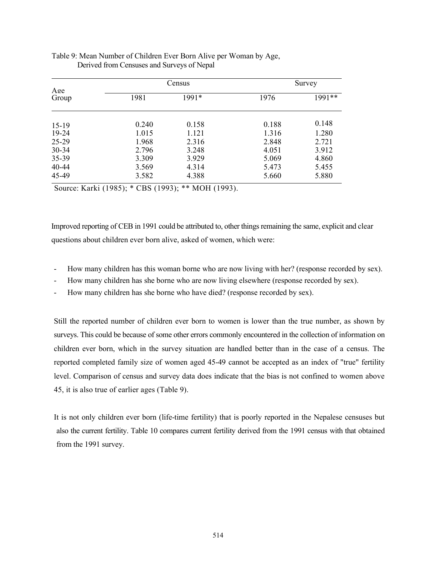|              |       | Census        |       | Survey |  |
|--------------|-------|---------------|-------|--------|--|
| Age<br>Group | 1981  | 1991*<br>1976 |       | 1991** |  |
| $15-19$      | 0.240 | 0.158         | 0.188 | 0.148  |  |
| 19-24        | 1.015 | 1.121         | 1.316 | 1.280  |  |
| 25-29        | 1.968 | 2.316         | 2.848 | 2.721  |  |
| $30 - 34$    | 2.796 | 3.248         | 4.051 | 3.912  |  |
| 35-39        | 3.309 | 3.929         | 5.069 | 4.860  |  |
| $40 - 44$    | 3.569 | 4.314         | 5.473 | 5.455  |  |
| 45-49        | 3.582 | 4.388         | 5.660 | 5.880  |  |
|              |       |               |       |        |  |

#### Table 9: Mean Number of Children Ever Born Alive per Woman by Age, Derived from Censuses and Surveys of Nepal

Source: Karki (1985); \* CBS (1993); \*\* MOH (1993).

Improved reporting of CEB in 1991 could be attributed to, other things remaining the same, explicit and clear questions about children ever born alive, asked of women, which were:

- How many children has this woman borne who are now living with her? (response recorded by sex).
- How many children has she borne who are now living elsewhere (response recorded by sex).
- How many children has she borne who have died? (response recorded by sex).

Still the reported number of children ever born to women is lower than the true number, as shown by surveys. This could be because of some other errors commonly encountered in the collection of information on children ever born, which in the survey situation are handled better than in the case of a census. The reported completed family size of women aged 45-49 cannot be accepted as an index of "true" fertility level. Comparison of census and survey data does indicate that the bias is not confined to women above 45, it is also true of earlier ages (Table 9).

It is not only children ever born (life-time fertility) that is poorly reported in the Nepalese censuses but also the current fertility. Table 10 compares current fertility derived from the 1991 census with that obtained from the 1991 survey.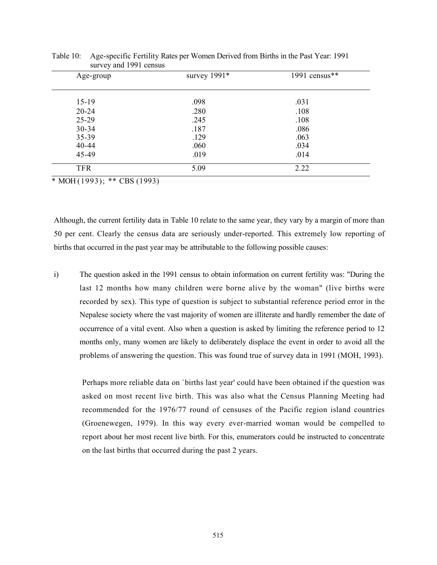| Age-group  | survey $1991*$ | 1991 census $**$ |
|------------|----------------|------------------|
|            |                |                  |
| $15-19$    | .098           | .031             |
| $20 - 24$  | .280           | .108             |
| 25-29      | .245           | .108             |
| $30 - 34$  | .187           | .086             |
| 35-39      | .129           | .063             |
| 40-44      | .060           | .034             |
| 45-49      | .019           | .014             |
| <b>TFR</b> | 5.09           | 2.22             |

Table 10: Age-specific Fertility Rates per Women Derived from Births in the Past Year: 1991 survey and 1991 census

 $*$  MOH $(1993)$ ; \*\* CBS $(1993)$ 

Although, the current fertility data in Table 10 relate to the same year, they vary by a margin of more than 50 per cent. Clearly the census data are seriously under-reported. This extremely low reporting of births that occurred in the past year may be attributable to the following possible causes:

i) The question asked in the 1991 census to obtain information on current fertility was: "During the last 12 months how many children were borne alive by the woman" (live births were recorded by sex). This type of question is subject to substantial reference period error in the Nepalese society where the vast majority of women are illiterate and hardly remember the date of occurrence of a vital event. Also when a question is asked by limiting the reference period to 12 months only, many women are likely to deliberately displace the event in order to avoid all the problems of answering the question. This was found true of survey data in 1991 (MOH, 1993).

Perhaps more reliable data on `births last year' could have been obtained if the question was asked on most recent live birth. This was also what the Census Planning Meeting had recommended for the 1976/77 round of censuses of the Pacific region island countries (Groenewegen, 1979). In this way every ever-married woman would be compelled to report about her most recent live birth. For this, enumerators could be instructed to concentrate on the last births that occurred during the past 2 years.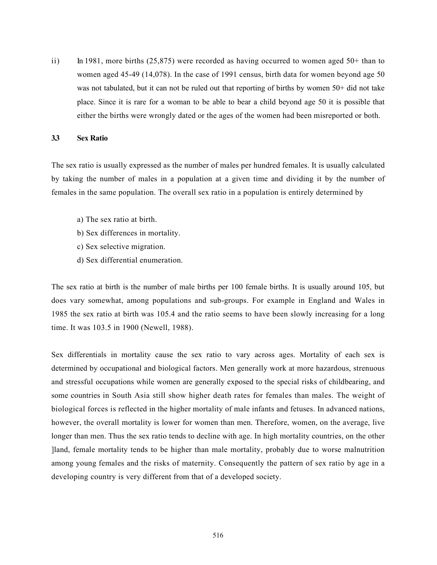ii) In 1981, more births  $(25,875)$  were recorded as having occurred to women aged  $50+$  than to women aged 45-49 (14,078). In the case of 1991 census, birth data for women beyond age 50 was not tabulated, but it can not be ruled out that reporting of births by women 50+ did not take place. Since it is rare for a woman to be able to bear a child beyond age 50 it is possible that either the births were wrongly dated or the ages of the women had been misreported or both.

#### 3.3 Sex Ratio

The sex ratio is usually expressed as the number of males per hundred females. It is usually calculated by taking the number of males in a population at a given time and dividing it by the number of females in the same population. The overall sex ratio in a population is entirely determined by

- a) The sex ratio at birth.
- b) Sex differences in mortality.
- c) Sex selective migration.
- d) Sex differential enumeration.

The sex ratio at birth is the number of male births per 100 female births. It is usually around 105, but does vary somewhat, among populations and sub-groups. For example in England and Wales in 1985 the sex ratio at birth was 105.4 and the ratio seems to have been slowly increasing for a long time. It was 103.5 in 1900 (Newell, 1988).

Sex differentials in mortality cause the sex ratio to vary across ages. Mortality of each sex is determined by occupational and biological factors. Men generally work at more hazardous, strenuous and stressful occupations while women are generally exposed to the special risks of childbearing, and some countries in South Asia still show higher death rates for females than males. The weight of biological forces is reflected in the higher mortality of male infants and fetuses. In advanced nations, however, the overall mortality is lower for women than men. Therefore, women, on the average, live longer than men. Thus the sex ratio tends to decline with age. In high mortality countries, on the other ]land, female mortality tends to be higher than male mortality, probably due to worse malnutrition among young females and the risks of maternity. Consequently the pattern of sex ratio by age in a developing country is very different from that of a developed society.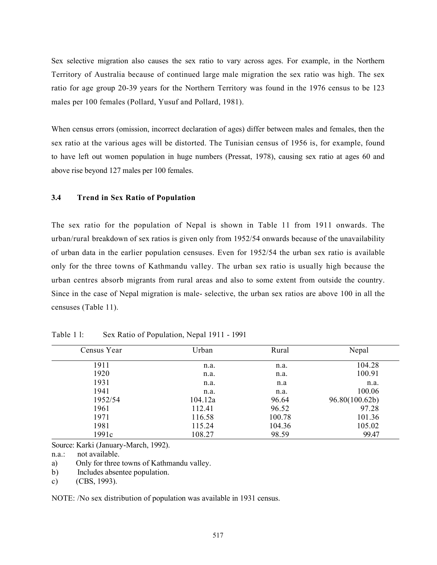Sex selective migration also causes the sex ratio to vary across ages. For example, in the Northern Territory of Australia because of continued large male migration the sex ratio was high. The sex ratio for age group 20-39 years for the Northern Territory was found in the 1976 census to be 123 males per 100 females (Pollard, Yusuf and Pollard, 1981).

When census errors (omission, incorrect declaration of ages) differ between males and females, then the sex ratio at the various ages will be distorted. The Tunisian census of 1956 is, for example, found to have left out women population in huge numbers (Pressat, 1978), causing sex ratio at ages 60 and above rise beyond 127 males per 100 females.

## 3.4 Trend in Sex Ratio of Population

The sex ratio for the population of Nepal is shown in Table 11 from 1911 onwards. The urban/rural breakdown of sex ratios is given only from 1952/54 onwards because of the unavailability of urban data in the earlier population censuses. Even for 1952/54 the urban sex ratio is available only for the three towns of Kathmandu valley. The urban sex ratio is usually high because the urban centres absorb migrants from rural areas and also to some extent from outside the country. Since in the case of Nepal migration is male- selective, the urban sex ratios are above 100 in all the censuses (Table 11).

| Census Year | Urban   | Rural  | Nepal          |
|-------------|---------|--------|----------------|
| 1911        | n.a.    | n.a.   | 104.28         |
| 1920        | n.a.    | n.a.   | 100.91         |
| 1931        | n.a.    | n.a    | n.a.           |
| 1941        | n.a.    | n.a.   | 100.06         |
| 1952/54     | 104.12a | 96.64  | 96.80(100.62b) |
| 1961        | 112.41  | 96.52  | 97.28          |
| 1971        | 116.58  | 100.78 | 101.36         |
| 1981        | 115.24  | 104.36 | 105.02         |
| 1991c       | 108.27  | 98.59  | 99.47          |

Table 1 l: Sex Ratio of Population, Nepal 1911 - 1991

Source: Karki (January-March, 1992).

n.a.: not available.

a) Only for three towns of Kathmandu valley.

b) Includes absentee population.

c) (CBS, 1993).

NOTE: /No sex distribution of population was available in 1931 census.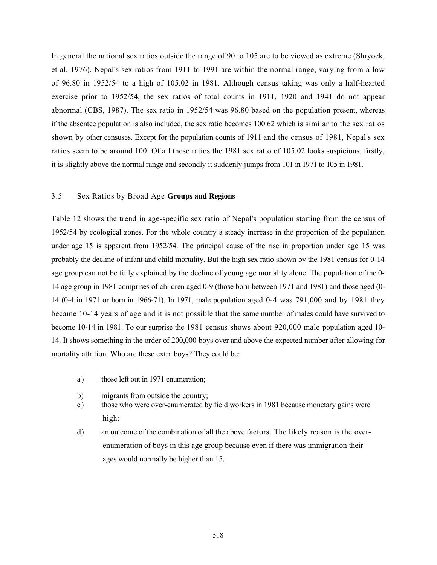In general the national sex ratios outside the range of 90 to 105 are to be viewed as extreme (Shryock, et al, 1976). Nepal's sex ratios from 1911 to 1991 are within the normal range, varying from a low of 96.80 in 1952/54 to a high of 105.02 in 1981. Although census taking was only a half-hearted exercise prior to 1952/54, the sex ratios of total counts in 1911, 1920 and 1941 do not appear abnormal (CBS, 1987). The sex ratio in 1952/54 was 96.80 based on the population present, whereas if the absentee population is also included, the sex ratio becomes 100.62 which is similar to the sex ratios shown by other censuses. Except for the population counts of 1911 and the census of 1981, Nepal's sex ratios seem to be around 100. Of all these ratios the 1981 sex ratio of 105.02 looks suspicious, firstly, it is slightly above the normal range and secondly it suddenly jumps from 101 in 1971 to 105 in 1981.

## 3.5 Sex Ratios by Broad Age Groups and Regions

Table 12 shows the trend in age-specific sex ratio of Nepal's population starting from the census of 1952/54 by ecological zones. For the whole country a steady increase in the proportion of the population under age 15 is apparent from 1952/54. The principal cause of the rise in proportion under age 15 was probably the decline of infant and child mortality. But the high sex ratio shown by the 1981 census for 0-14 age group can not be fully explained by the decline of young age mortality alone. The population of the 0- 14 age group in 1981 comprises of children aged 0-9 (those born between 1971 and 1981) and those aged (0- 14 (0-4 in 1971 or born in 1966-71). In 1971, male population aged 0-4 was 791,000 and by 1981 they became 10-14 years of age and it is not possible that the same number of males could have survived to become 10-14 in 1981. To our surprise the 1981 census shows about 920,000 male population aged 10- 14. It shows something in the order of 200,000 boys over and above the expected number after allowing for mortality attrition. Who are these extra boys? They could be:

- a) those left out in 1971 enumeration;
- b) migrants from outside the country;
- c) those who were over-enumerated by field workers in 1981 because monetary gains were high;
- d) an outcome of the combination of all the above factors. The likely reason is the overenumeration of boys in this age group because even if there was immigration their ages would normally be higher than 15.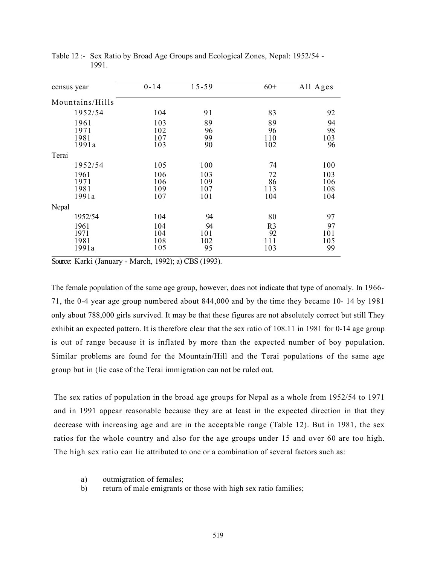| census year                   | $0 - 14$                 | $15 - 59$                | $60+$                              | All Ages                 |
|-------------------------------|--------------------------|--------------------------|------------------------------------|--------------------------|
| Mountains/Hills               |                          |                          |                                    |                          |
| 1952/54                       | 104                      | 91                       | 83                                 | 92                       |
| 1961<br>1971<br>1981<br>1991a | 103<br>102<br>107<br>103 | 89<br>96<br>99<br>90     | 89<br>96<br>110<br>102             | 94<br>98<br>103<br>96    |
| Terai                         |                          |                          |                                    |                          |
| 1952/54                       | 105                      | 100                      | 74                                 | 100                      |
| 1961<br>1971<br>1981<br>1991a | 106<br>106<br>109<br>107 | 103<br>109<br>107<br>101 | 72<br>86<br>113<br>104             | 103<br>106<br>108<br>104 |
| Nepal                         |                          |                          |                                    |                          |
| 1952/54                       | 104                      | 94                       | 80                                 | 97                       |
| 1961<br>1971<br>1981<br>1991a | 104<br>104<br>108<br>105 | 94<br>101<br>102<br>95   | R <sub>3</sub><br>92<br>111<br>103 | 97<br>101<br>105<br>99   |

Table 12 :- Sex Ratio by Broad Age Groups and Ecological Zones, Nepal: 1952/54 - 1991.

Source: Karki (January - March, 1992); a) CBS (1993).

The female population of the same age group, however, does not indicate that type of anomaly. In 1966- 71, the 0-4 year age group numbered about 844,000 and by the time they became 10- 14 by 1981 only about 788,000 girls survived. It may be that these figures are not absolutely correct but still They exhibit an expected pattern. It is therefore clear that the sex ratio of 108.11 in 1981 for 0-14 age group is out of range because it is inflated by more than the expected number of boy population. Similar problems are found for the Mountain/Hill and the Terai populations of the same age group but in (lie case of the Terai immigration can not be ruled out.

The sex ratios of population in the broad age groups for Nepal as a whole from 1952/54 to 1971 and in 1991 appear reasonable because they are at least in the expected direction in that they decrease with increasing age and are in the acceptable range (Table 12). But in 1981, the sex ratios for the whole country and also for the age groups under 15 and over 60 are too high. The high sex ratio can lie attributed to one or a combination of several factors such as:

- a) outmigration of females;
- b) return of male emigrants or those with high sex ratio families;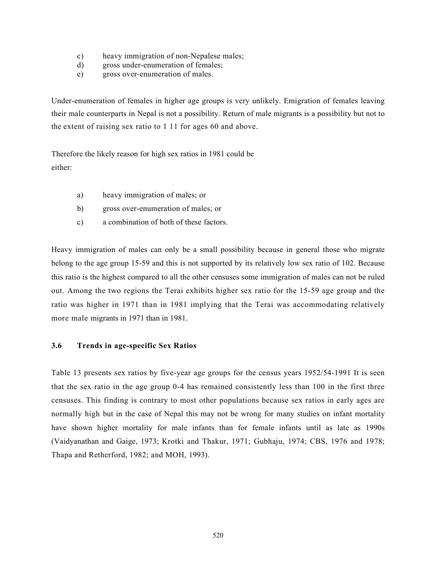- c) heavy immigration of non-Nepalese males;
- d) gross under-enumeration of females;
- e) gross over-enumeration of males.

Under-enumeration of females in higher age groups is very unlikely. Emigration of females leaving their male counterparts in Nepal is not a possibility. Return of male migrants is a possibility but not to the extent of raising sex ratio to 1 11 for ages 60 and above.

Therefore the likely reason for high sex ratios in 1981 could be either:

- a) heavy immigration of males; or
- b) gross over-enumeration of males; or
- c) a combination of both of these factors.

Heavy immigration of males can only be a small possibility because in general those who migrate belong to the age group 15-59 and this is not supported by its relatively low sex ratio of 102. Because this ratio is the highest compared to all the other censuses some immigration of males can not be ruled out. Among the two regions the Terai exhibits higher sex ratio for the 15-59 age group and the ratio was higher in 1971 than in 1981 implying that the Terai was accommodating relatively more male migrants in 1971 than in 1981.

# 3.6 Trends in age-specific Sex Ratios

Table 13 presents sex ratios by five-year age groups for the census years 1952/54-1991 It is seen that the sex ratio in the age group 0-4 has remained consistently less than 100 in the first three censuses. This finding is contrary to most other populations because sex ratios in early ages are normally high but in the case of Nepal this may not be wrong for many studies on infant mortality have shown higher mortality for male infants than for female infants until as late as 1990s (Vaidyanathan and Gaige, 1973; Krotki and Thakur, 1971; Gubhaju, 1974; CBS, 1976 and 1978; Thapa and Retherford, 1982; and MOH, 1993).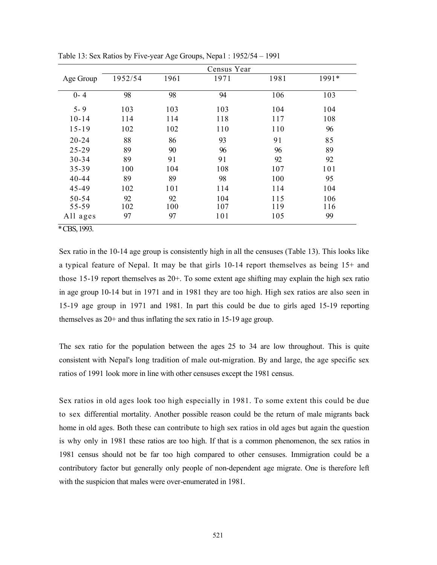|           |         |      | Census Year |      |       |
|-----------|---------|------|-------------|------|-------|
| Age Group | 1952/54 | 1961 | 1971        | 1981 | 1991* |
| $0 - 4$   | 98      | 98   | 94          | 106  | 103   |
| $5 - 9$   | 103     | 103  | 103         | 104  | 104   |
| $10 - 14$ | 114     | 114  | 118         | 117  | 108   |
| $15 - 19$ | 102     | 102  | 110         | 110  | 96    |
| $20 - 24$ | 88      | 86   | 93          | 91   | 85    |
| $25 - 29$ | 89      | 90   | 96          | 96   | 89    |
| $30 - 34$ | 89      | 91   | 91          | 92   | 92    |
| 35-39     | 100     | 104  | 108         | 107  | 101   |
| $40 - 44$ | 89      | 89   | 98          | 100  | 95    |
| 45-49     | 102     | 101  | 114         | 114  | 104   |
| $50 - 54$ | 92      | 92   | 104         | 115  | 106   |
| 55-59     | 102     | 100  | 107         | 119  | 116   |
| All ages  | 97      | 97   | 101         | 105  | 99    |

Table 13: Sex Ratios by Five-year Age Groups, Nepa1 : 1952/54 – 1991

\* CBS, 1993.

Sex ratio in the 10-14 age group is consistently high in all the censuses (Table 13). This looks like a typical feature of Nepal. It may be that girls 10-14 report themselves as being 15+ and those 15-19 report themselves as 20+. To some extent age shifting may explain the high sex ratio in age group 10-14 but in 1971 and in 1981 they are too high. High sex ratios are also seen in 15-19 age group in 1971 and 1981. In part this could be due to girls aged 15-19 reporting themselves as 20+ and thus inflating the sex ratio in 15-19 age group.

The sex ratio for the population between the ages 25 to 34 are low throughout. This is quite consistent with Nepal's long tradition of male out-migration. By and large, the age specific sex ratios of 1991 look more in line with other censuses except the 1981 census.

Sex ratios in old ages look too high especially in 1981. To some extent this could be due to sex differential mortality. Another possible reason could be the return of male migrants back home in old ages. Both these can contribute to high sex ratios in old ages but again the question is why only in 1981 these ratios are too high. If that is a common phenomenon, the sex ratios in 1981 census should not be far too high compared to other censuses. Immigration could be a contributory factor but generally only people of non-dependent age migrate. One is therefore left with the suspicion that males were over-enumerated in 1981.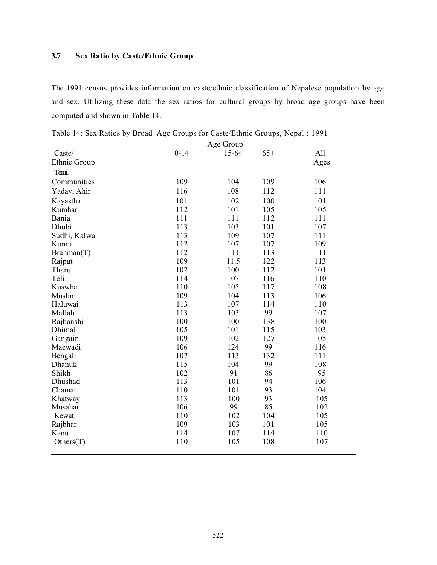# 3.7 Sex Ratio by Caste/Ethnic Group

The 1991 census provides information on caste/ethnic classification of Nepalese population by age and sex. Utilizing these data the sex ratios for cultural groups by broad age groups have been computed and shown in Table 14.

|                 |          | Age Group |       |      |
|-----------------|----------|-----------|-------|------|
| $\text{Caste}/$ | $0 - 14$ | 15-64     | $65+$ | All  |
| Ethnic Group    |          |           |       | Ages |
| Terai.          |          |           |       |      |
| Communities     | 109      | 104       | 109   | 106  |
| Yadav, Ahir     | 116      | 108       | 112   | 111  |
| Kayastha        | 101      | 102       | 100   | 101  |
| Kumhar          | 112      | 101       | 105   | 105  |
| Bania           | 111      | 111       | 112   | 111  |
| Dhobi           | 113      | 103       | 101   | 107  |
| Sudhi, Kalwa    | 113      | 109       | 107   | 111  |
| Kurmi           | 112      | 107       | 107   | 109  |
| Braham(T)       | 112      | 111       | 113   | 111  |
| Rajput          | 109      | 11.5      | 122   | 113  |
| Tharu           | 102      | 100       | 112   | 101  |
| Teli            | 114      | 107       | 116   | 110  |
| Kuswha          | 110      | 105       | 117   | 108  |
| Muslim          | 109      | 104       | 113   | 106  |
| Haluwai         | 113      | 107       | 114   | 110  |
| Mallah          | 113      | 103       | 99    | 107  |
| Rajbanshi       | 100      | 100       | 138   | 100  |
| Dhimal          | 105      | 101       | 115   | 103  |
| Gangain         | 109      | 102       | 127   | 105  |
| Maewadi         | 106      | 124       | 99    | 116  |
| Bengali         | 107      | 113       | 132   | 111  |
| Dhanuk          | 115      | 104       | 99    | 108  |
| Shikh           | 102      | 91        | 86    | 95   |
| Dhushad         | 113      | 101       | 94    | 106  |
| Chamar          | 110      | 101       | 93    | 104  |
| Khatway         | 113      | 100       | 93    | 105  |
| Musahar         | 106      | 99        | 85    | 102  |
| Kewat           | 110      | 102       | 104   | 105  |
| Rajbhar         | 109      | 103       | 101   | 105  |
| Kanu            | 114      | 107       | 114   | 110  |
| Others(T)       | 110      | 105       | 108   | 107  |

Table 14: Sex Ratios by Broad Age Groups for Caste/Ethnic Groups, Nepal : 1991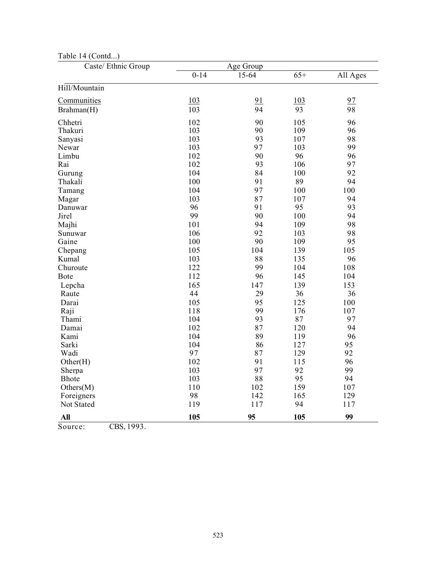| 1.1<br>Caste/ Ethnic Group |          | Age Group |            |          |
|----------------------------|----------|-----------|------------|----------|
|                            | $0 - 14$ | 15-64     | $65+$      | All Ages |
| Hill/Mountain              |          |           |            |          |
| Communities                | 103      | 91        | <u>103</u> | 97       |
| Brahman(H)                 | 103      | 94        | 93         | 98       |
| Chhetri                    | 102      | 90        | 105        | 96       |
| Thakuri                    | 103      | 90        | 109        | 96       |
| Sanyasi                    | 103      | 93        | 107        | 98       |
| Newar                      | 103      | 97        | 103        | 99       |
| Limbu                      | 102      | 90        | 96         | 96       |
| Rai                        | 102      | 93        | 106        | 97       |
| Gurung                     | 104      | 84        | 100        | 92       |
| Thakali                    | 100      | 91        | 89         | 94       |
| Tamang                     | 104      | 97        | 100        | 100      |
| Magar                      | 103      | 87        | 107        | 94       |
| Danuwar                    | 96       | 91        | 95         | 93       |
| Jirel                      | 99       | 90        | 100        | 94       |
| Majhi                      | 101      | 94        | 109        | 98       |
| Sunuwar                    | 106      | 92        | 103        | 98       |
| Gaine                      | 100      | 90        | 109        | 95       |
| Chepang                    | 105      | 104       | 139        | 105      |
| Kumal                      | 103      | 88        | 135        | 96       |
| Churoute                   | 122      | 99        | 104        | 108      |
| Bote                       | 112      | 96        | 145        | 104      |
| Lepcha                     | 165      | 147       | 139        | 153      |
| Raute                      | 44       | 29        | 36         | 36       |
| Darai                      | 105      | 95        | 125        | 100      |
| Raji                       | 118      | 99        | 176        | 107      |
| Thami                      | 104      | 93        | 87         | 97       |
| Damai                      | 102      | 87        | 120        | 94       |
| Kami                       | 104      | 89        | 119        | 96       |
| Sarki                      | 104      | 86        | 127        | 95       |
| Wadi                       | 97       | 87        | 129        | 92       |
| Other(H)                   | 102      | 91        | 115        | 96       |
| Sherpa                     | 103      | 97        | 92         | 99       |
| <b>Bhote</b>               | 103      | 88        | 95         | 94       |
| Others(M)                  | 110      | 102       | 159        | 107      |
| Foreigners                 | 98       | 142       | 165        | 129      |
| Not Stated                 | 119      | 117       | 94         | 117      |
| <b>All</b>                 | 105      | 95        | 105        | 99       |

# Table 14 (Contd...)

Source: **CBS**, 1993.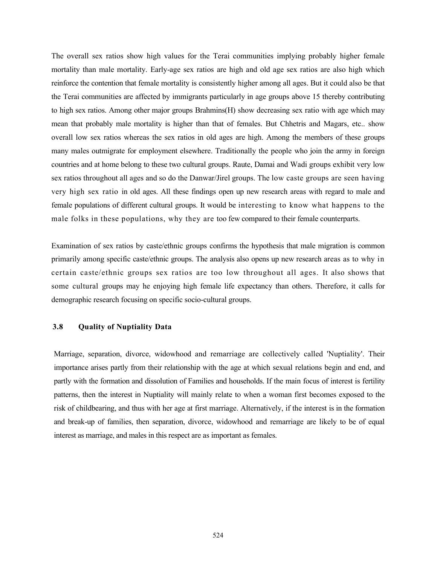The overall sex ratios show high values for the Terai communities implying probably higher female mortality than male mortality. Early-age sex ratios are high and old age sex ratios are also high which reinforce the contention that female mortality is consistently higher among all ages. But it could also be that the Terai communities are affected by immigrants particularly in age groups above 15 thereby contributing to high sex ratios. Among other major groups Brahmins(H) show decreasing sex ratio with age which may mean that probably male mortality is higher than that of females. But Chhetris and Magars, etc.. show overall low sex ratios whereas the sex ratios in old ages are high. Among the members of these groups many males outmigrate for employment elsewhere. Traditionally the people who join the army in foreign countries and at home belong to these two cultural groups. Raute, Damai and Wadi groups exhibit very low sex ratios throughout all ages and so do the Danwar/Jirel groups. The low caste groups are seen having very high sex ratio in old ages. All these findings open up new research areas with regard to male and female populations of different cultural groups. It would be interesting to know what happens to the male folks in these populations, why they are too few compared to their female counterparts.

Examination of sex ratios by caste/ethnic groups confirms the hypothesis that male migration is common primarily among specific caste/ethnic groups. The analysis also opens up new research areas as to why in certain caste/ethnic groups sex ratios are too low throughout all ages. It also shows that some cultural groups may he enjoying high female life expectancy than others. Therefore, it calls for demographic research focusing on specific socio-cultural groups.

# 3.8 Quality of Nuptiality Data

Marriage, separation, divorce, widowhood and remarriage are collectively called 'Nuptiality'. Their importance arises partly from their relationship with the age at which sexual relations begin and end, and partly with the formation and dissolution of Families and households. If the main focus of interest is fertility patterns, then the interest in Nuptiality will mainly relate to when a woman first becomes exposed to the risk of childbearing, and thus with her age at first marriage. Alternatively, if the interest is in the formation and break-up of families, then separation, divorce, widowhood and remarriage are likely to be of equal interest as marriage, and males in this respect are as important as females.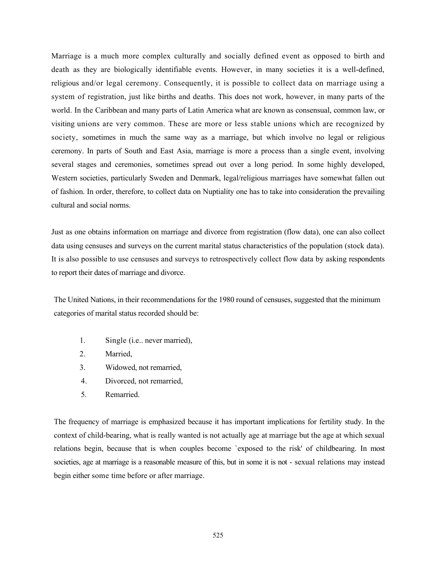Marriage is a much more complex culturally and socially defined event as opposed to birth and death as they are biologically identifiable events. However, in many societies it is a well-defined, religious and/or legal ceremony. Consequently, it is possible to collect data on marriage using a system of registration, just like births and deaths. This does not work, however, in many parts of the world. In the Caribbean and many parts of Latin America what are known as consensual, common law, or visiting unions are very common. These are more or less stable unions which are recognized by society, sometimes in much the same way as a marriage, but which involve no legal or religious ceremony. In parts of South and East Asia, marriage is more a process than a single event, involving several stages and ceremonies, sometimes spread out over a long period. In some highly developed, Western societies, particularly Sweden and Denmark, legal/religious marriages have somewhat fallen out of fashion. In order, therefore, to collect data on Nuptiality one has to take into consideration the prevailing cultural and social norms.

Just as one obtains information on marriage and divorce from registration (flow data), one can also collect data using censuses and surveys on the current marital status characteristics of the population (stock data). It is also possible to use censuses and surveys to retrospectively collect flow data by asking respondents to report their dates of marriage and divorce.

The United Nations, in their recommendations for the 1980 round of censuses, suggested that the minimum categories of marital status recorded should be:

- 1. Single (i.e.. never married),
- 2. Married,
- 3. Widowed, not remarried,
- 4. Divorced, not remarried,
- 5. Remarried.

The frequency of marriage is emphasized because it has important implications for fertility study. In the context of child-bearing, what is really wanted is not actually age at marriage but the age at which sexual relations begin, because that is when couples become `exposed to the risk' of childbearing. In most societies, age at marriage is a reasonable measure of this, but in some it is not - sexual relations may instead begin either some time before or after marriage.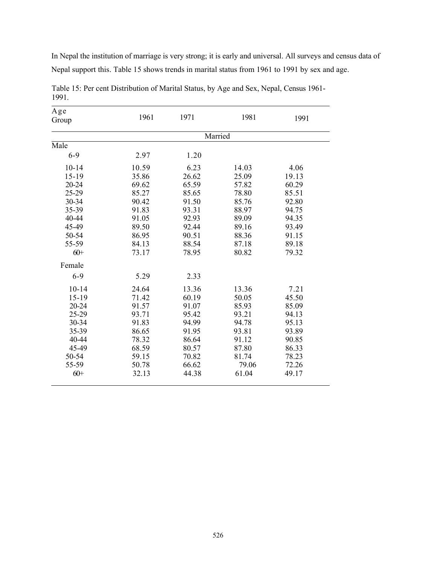In Nepal the institution of marriage is very strong; it is early and universal. All surveys and census data of Nepal support this. Table 15 shows trends in marital status from 1961 to 1991 by sex and age.

| Age       | 1961  | 1971  | 1981    | 1991  |
|-----------|-------|-------|---------|-------|
| Group     |       |       |         |       |
|           |       |       | Married |       |
| Male      |       |       |         |       |
| $6 - 9$   | 2.97  | 1.20  |         |       |
| $10 - 14$ | 10.59 | 6.23  | 14.03   | 4.06  |
| $15 - 19$ | 35.86 | 26.62 | 25.09   | 19.13 |
| 20-24     | 69.62 | 65.59 | 57.82   | 60.29 |
| 25-29     | 85.27 | 85.65 | 78.80   | 85.51 |
| 30-34     | 90.42 | 91.50 | 85.76   | 92.80 |
| 35-39     | 91.83 | 93.31 | 88.97   | 94.75 |
| 40-44     | 91.05 | 92.93 | 89.09   | 94.35 |
| 45-49     | 89.50 | 92.44 | 89.16   | 93.49 |
| 50-54     | 86.95 | 90.51 | 88.36   | 91.15 |
| 55-59     | 84.13 | 88.54 | 87.18   | 89.18 |
| $60+$     | 73.17 | 78.95 | 80.82   | 79.32 |
| Female    |       |       |         |       |
| $6 - 9$   | 5.29  | 2.33  |         |       |
| $10 - 14$ | 24.64 | 13.36 | 13.36   | 7.21  |
| $15-19$   | 71.42 | 60.19 | 50.05   | 45.50 |
| $20 - 24$ | 91.57 | 91.07 | 85.93   | 85.09 |
| 25-29     | 93.71 | 95.42 | 93.21   | 94.13 |
| 30-34     | 91.83 | 94.99 | 94.78   | 95.13 |
| 35-39     | 86.65 | 91.95 | 93.81   | 93.89 |
| 40-44     | 78.32 | 86.64 | 91.12   | 90.85 |
| 45-49     | 68.59 | 80.57 | 87.80   | 86.33 |
| 50-54     | 59.15 | 70.82 | 81.74   | 78.23 |
| 55-59     | 50.78 | 66.62 | 79.06   | 72.26 |
| $60+$     | 32.13 | 44.38 | 61.04   | 49.17 |

Table 15: Per cent Distribution of Marital Status, by Age and Sex, Nepal, Census 1961- 1991.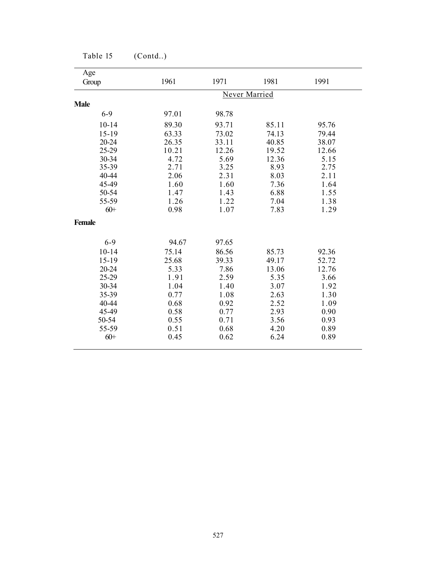| Age           |               |       |       |       |  |  |
|---------------|---------------|-------|-------|-------|--|--|
| Group         | 1961          | 1971  | 1981  | 1991  |  |  |
|               | Never Married |       |       |       |  |  |
| <b>Male</b>   |               |       |       |       |  |  |
| $6 - 9$       | 97.01         | 98.78 |       |       |  |  |
| $10 - 14$     | 89.30         | 93.71 | 85.11 | 95.76 |  |  |
| $15 - 19$     | 63.33         | 73.02 | 74.13 | 79.44 |  |  |
| $20 - 24$     | 26.35         | 33.11 | 40.85 | 38.07 |  |  |
| 25-29         | 10.21         | 12.26 | 19.52 | 12.66 |  |  |
| 30-34         | 4.72          | 5.69  | 12.36 | 5.15  |  |  |
| 35-39         | 2.71          | 3.25  | 8.93  | 2.75  |  |  |
| 40-44         | 2.06          | 2.31  | 8.03  | 2.11  |  |  |
| 45-49         | 1.60          | 1.60  | 7.36  | 1.64  |  |  |
| 50-54         | 1.47          | 1.43  | 6.88  | 1.55  |  |  |
| 55-59         | 1.26          | 1.22  | 7.04  | 1.38  |  |  |
| $60+$         | 0.98          | 1.07  | 7.83  | 1.29  |  |  |
| <b>Female</b> |               |       |       |       |  |  |
| $6 - 9$       | 94.67         | 97.65 |       |       |  |  |
| $10 - 14$     | 75.14         | 86.56 | 85.73 | 92.36 |  |  |
| $15-19$       | 25.68         | 39.33 | 49.17 | 52.72 |  |  |
| 20-24         | 5.33          | 7.86  | 13.06 | 12.76 |  |  |
| 25-29         | 1.91          | 2.59  | 5.35  | 3.66  |  |  |
| 30-34         | 1.04          | 1.40  | 3.07  | 1.92  |  |  |
| 35-39         | 0.77          | 1.08  | 2.63  | 1.30  |  |  |
| 40-44         | 0.68          | 0.92  | 2.52  | 1.09  |  |  |
| 45-49         | 0.58          | 0.77  | 2.93  | 0.90  |  |  |
| 50-54         | 0.55          | 0.71  | 3.56  | 0.93  |  |  |
| 55-59         | 0.51          | 0.68  | 4.20  | 0.89  |  |  |
| $60+$         | 0.45          | 0.62  | 6.24  | 0.89  |  |  |

Table 15 (Contd..)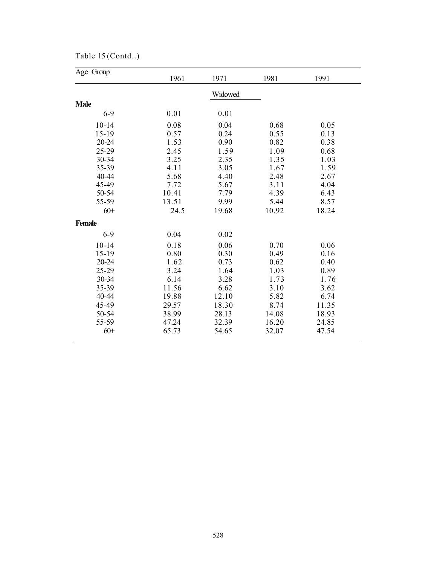| Table 15 (Contd) |  |
|------------------|--|
|------------------|--|

| Age Group     | 1961  | 1971    | 1981  | 1991  |
|---------------|-------|---------|-------|-------|
|               |       | Widowed |       |       |
| <b>Male</b>   |       |         |       |       |
| $6 - 9$       | 0.01  | 0.01    |       |       |
| $10 - 14$     | 0.08  | 0.04    | 0.68  | 0.05  |
| $15 - 19$     | 0.57  | 0.24    | 0.55  | 0.13  |
| 20-24         | 1.53  | 0.90    | 0.82  | 0.38  |
| 25-29         | 2.45  | 1.59    | 1.09  | 0.68  |
| 30-34         | 3.25  | 2.35    | 1.35  | 1.03  |
| 35-39         | 4.11  | 3.05    | 1.67  | 1.59  |
| 40-44         | 5.68  | 4.40    | 2.48  | 2.67  |
| 45-49         | 7.72  | 5.67    | 3.11  | 4.04  |
| 50-54         | 10.41 | 7.79    | 4.39  | 6.43  |
| 55-59         | 13.51 | 9.99    | 5.44  | 8.57  |
| $60+$         | 24.5  | 19.68   | 10.92 | 18.24 |
| <b>Female</b> |       |         |       |       |
| $6 - 9$       | 0.04  | 0.02    |       |       |
| $10 - 14$     | 0.18  | 0.06    | 0.70  | 0.06  |
| $15 - 19$     | 0.80  | 0.30    | 0.49  | 0.16  |
| 20-24         | 1.62  | 0.73    | 0.62  | 0.40  |
| 25-29         | 3.24  | 1.64    | 1.03  | 0.89  |
| 30-34         | 6.14  | 3.28    | 1.73  | 1.76  |
| 35-39         | 11.56 | 6.62    | 3.10  | 3.62  |
| 40-44         | 19.88 | 12.10   | 5.82  | 6.74  |
| 45-49         | 29.57 | 18.30   | 8.74  | 11.35 |
| 50-54         | 38.99 | 28.13   | 14.08 | 18.93 |
| 55-59         | 47.24 | 32.39   | 16.20 | 24.85 |
| $60 +$        | 65.73 | 54.65   | 32.07 | 47.54 |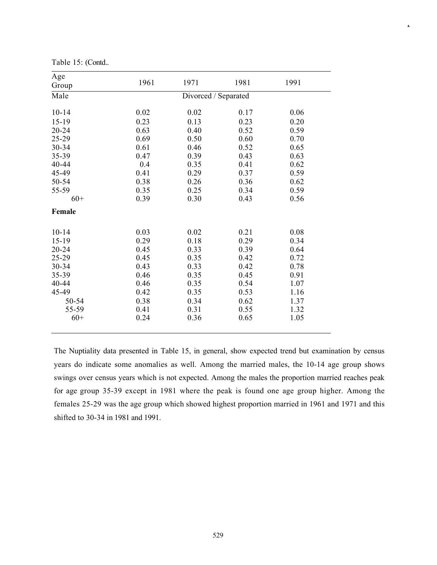| Age<br>Group | 1961 | 1971                 | 1981 | 1991 |
|--------------|------|----------------------|------|------|
| Male         |      | Divorced / Separated |      |      |
| $10 - 14$    | 0.02 | 0.02                 | 0.17 | 0.06 |
| $15-19$      | 0.23 | 0.13                 | 0.23 | 0.20 |
| $20 - 24$    | 0.63 | 0.40                 | 0.52 | 0.59 |
| 25-29        | 0.69 | 0.50                 | 0.60 | 0.70 |
| 30-34        | 0.61 | 0.46                 | 0.52 | 0.65 |
| 35-39        | 0.47 | 0.39                 | 0.43 | 0.63 |
| 40-44        | 0.4  | 0.35                 | 0.41 | 0.62 |
| 45-49        | 0.41 | 0.29                 | 0.37 | 0.59 |
| 50-54        | 0.38 | 0.26                 | 0.36 | 0.62 |
| 55-59        | 0.35 | 0.25                 | 0.34 | 0.59 |
| $60+$        | 0.39 | 0.30                 | 0.43 | 0.56 |
| Female       |      |                      |      |      |
| $10 - 14$    | 0.03 | 0.02                 | 0.21 | 0.08 |
| $15-19$      | 0.29 | 0.18                 | 0.29 | 0.34 |
| $20 - 24$    | 0.45 | 0.33                 | 0.39 | 0.64 |
| 25-29        | 0.45 | 0.35                 | 0.42 | 0.72 |
| 30-34        | 0.43 | 0.33                 | 0.42 | 0.78 |
| 35-39        | 0.46 | 0.35                 | 0.45 | 0.91 |
| 40-44        | 0.46 | 0.35                 | 0.54 | 1.07 |
| 45-49        | 0.42 | 0.35                 | 0.53 | 1.16 |
| 50-54        | 0.38 | 0.34                 | 0.62 | 1.37 |
| 55-59        | 0.41 | 0.31                 | 0.55 | 1.32 |
| $60+$        | 0.24 | 0.36                 | 0.65 | 1.05 |

A

Table 15: (Contd..

The Nuptiality data presented in Table 15, in general, show expected trend but examination by census years do indicate some anomalies as well. Among the married males, the 10-14 age group shows swings over census years which is not expected. Among the males the proportion married reaches peak for age group 35-39 except in 1981 where the peak is found one age group higher. Among the females 25-29 was the age group which showed highest proportion married in 1961 and 1971 and this shifted to 30-34 in 1981 and 1991.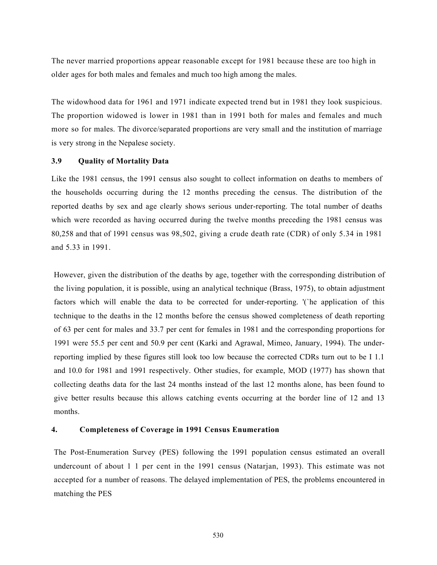The never married proportions appear reasonable except for 1981 because these are too high in older ages for both males and females and much too high among the males.

The widowhood data for 1961 and 1971 indicate expected trend but in 1981 they look suspicious. The proportion widowed is lower in 1981 than in 1991 both for males and females and much more so for males. The divorce/separated proportions are very small and the institution of marriage is very strong in the Nepalese society.

### 3.9 Quality of Mortality Data

Like the 1981 census, the 1991 census also sought to collect information on deaths to members of the households occurring during the 12 months preceding the census. The distribution of the reported deaths by sex and age clearly shows serious under-reporting. The total number of deaths which were recorded as having occurred during the twelve months preceding the 1981 census was 80,258 and that of 1991 census was 98,502, giving a crude death rate (CDR) of only 5.34 in 1981 and 5.33 in 1991.

However, given the distribution of the deaths by age, together with the corresponding distribution of the living population, it is possible, using an analytical technique (Brass, 1975), to obtain adjustment factors which will enable the data to be corrected for under-reporting. '(`he application of this technique to the deaths in the 12 months before the census showed completeness of death reporting of 63 per cent for males and 33.7 per cent for females in 1981 and the corresponding proportions for 1991 were 55.5 per cent and 50.9 per cent (Karki and Agrawal, Mimeo, January, 1994). The underreporting implied by these figures still look too low because the corrected CDRs turn out to be I 1.1 and 10.0 for 1981 and 1991 respectively. Other studies, for example, MOD (1977) has shown that collecting deaths data for the last 24 months instead of the last 12 months alone, has been found to give better results because this allows catching events occurring at the border line of 12 and 13 months.

#### 4. Completeness of Coverage in 1991 Census Enumeration

The Post-Enumeration Survey (PES) following the 1991 population census estimated an overall undercount of about 1 1 per cent in the 1991 census (Natarjan, 1993). This estimate was not accepted for a number of reasons. The delayed implementation of PES, the problems encountered in matching the PES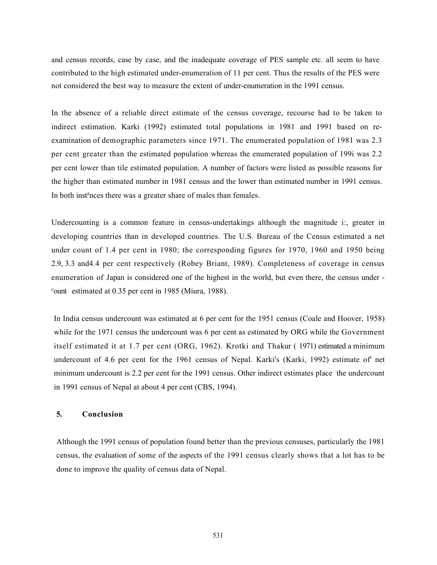and census records, case by case, and the inadequate coverage of PES sample etc. all seem to have contributed to the high estimated under-enumeration of 11 per cent. Thus the results of the PES were not considered the best way to measure the extent of under-enumeration in the 1991 census.

In the absence of a reliable direct estimate of the census coverage, recourse had to be taken to indirect estimation. Karki (1992) estimated total populations in 1981 and 1991 based on reexamination of demographic parameters since 1971. The enumerated population of 1981 was 2.3 per cent greater than the estimated population whereas the enumerated population of 199i was 2.2 per cent lower than tile estimated population. A number of factors were listed as possible reasons for the higher than estimated number in 1981 census and the lower than estimated number in 1991 census. In both inst<sup>a</sup>nces there was a greater share of males than females.

Undercounting is a common feature in census-undertakings although the magnitude i:, greater in developing countries than in developed countries. The U.S. Bureau of the Census estimated a net under count of 1.4 per cent in 1980; the corresponding figures for 1970, 1960 and 1950 being 2.9, 3.3 and4.4 per cent respectively (Robey Briant, 1989). Completeness of coverage in census enumeration of Japan is considered one of the highest in the world, but even there, the census under -  $\text{c}$ <sup>c</sup>ount estimated at 0.35 per cent in 1985 (Miura, 1988).

In India census undercount was estimated at 6 per cent for the 1951 census (Coale and Hoover, 1958) while for the 1971 census the undercount was 6 per cent as estimated by ORG while the Government itself estimated it at 1.7 per cent (ORG, 1962). Krotki and Thakur ( 1971) estimated a minimum undercount of 4.6 per cent for the 1961 census of Nepal. Karki's (Karki, 1992) estimate of' net minimum undercount is 2.2 per cent for the 1991 census. Other indirect estimates place the undercount in 1991 census of Nepal at about 4 per cent (CBS, 1994).

## 5. Conclusion

Although the 1991 census of population found better than the previous censuses, particularly the 1981 census, the evaluation of some of the aspects of the 1991 census clearly shows that a lot has to be done to improve the quality of census data of Nepal.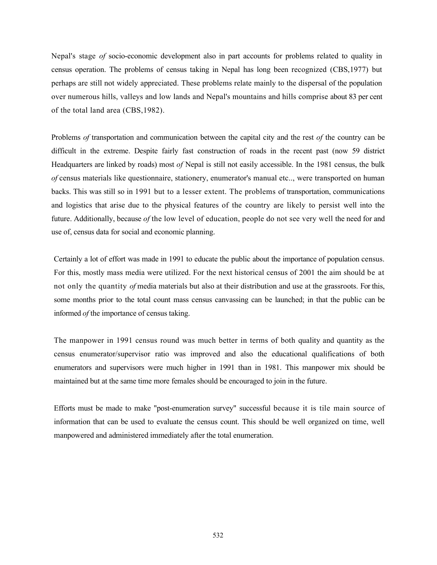Nepal's stage of socio-economic development also in part accounts for problems related to quality in census operation. The problems of census taking in Nepal has long been recognized (CBS,1977) but perhaps are still not widely appreciated. These problems relate mainly to the dispersal of the population over numerous hills, valleys and low lands and Nepal's mountains and hills comprise about 83 per cent of the total land area (CBS,1982).

Problems of transportation and communication between the capital city and the rest of the country can be difficult in the extreme. Despite fairly fast construction of roads in the recent past (now 59 district Headquarters are linked by roads) most of Nepal is still not easily accessible. In the 1981 census, the bulk of census materials like questionnaire, stationery, enumerator's manual etc.., were transported on human backs. This was still so in 1991 but to a lesser extent. The problems of transportation, communications and logistics that arise due to the physical features of the country are likely to persist well into the future. Additionally, because of the low level of education, people do not see very well the need for and use of, census data for social and economic planning.

Certainly a lot of effort was made in 1991 to educate the public about the importance of population census. For this, mostly mass media were utilized. For the next historical census of 2001 the aim should be at not only the quantity of media materials but also at their distribution and use at the grassroots. For this, some months prior to the total count mass census canvassing can be launched; in that the public can be informed of the importance of census taking.

The manpower in 1991 census round was much better in terms of both quality and quantity as the census enumerator/supervisor ratio was improved and also the educational qualifications of both enumerators and supervisors were much higher in 1991 than in 1981. This manpower mix should be maintained but at the same time more females should be encouraged to join in the future.

Efforts must be made to make "post-enumeration survey" successful because it is tile main source of information that can be used to evaluate the census count. This should be well organized on time, well manpowered and administered immediately after the total enumeration.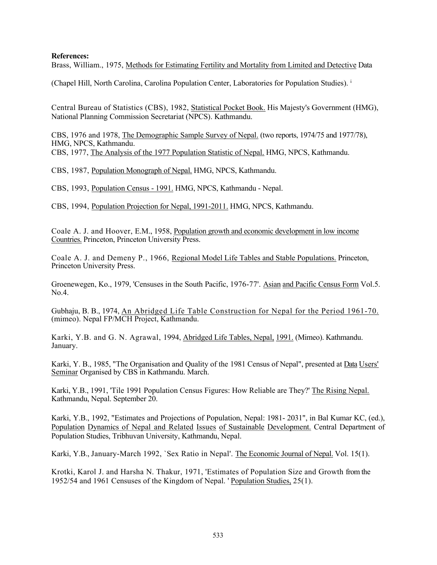### References:

Brass, William., 1975, Methods for Estimating Fertility and Mortality from Limited and Detective Data

(Chapel Hill, North Carolina, Carolina Population Center, Laboratories for Population Studies). <sup>i</sup>

Central Bureau of Statistics (CBS), 1982, Statistical Pocket Book. His Majesty's Government (HMG), National Planning Commission Secretariat (NPCS). Kathmandu.

CBS, 1976 and 1978, The Demographic Sample Survey of Nepal. (two reports, 1974/75 and 1977/78), HMG, NPCS, Kathmandu. CBS, 1977, The Analysis of the 1977 Population Statistic of Nepal. HMG, NPCS, Kathmandu.

CBS, 1987, Population Monograph of Nepal. HMG, NPCS, Kathmandu.

CBS, 1993, Population Census - 1991. HMG, NPCS, Kathmandu - Nepal.

CBS, 1994, Population Projection for Nepal, 1991-2011. HMG, NPCS, Kathmandu.

Coale A. J. and Hoover, E.M., 1958, Population growth and economic development in low income Countries. Princeton, Princeton University Press.

Coale A. J. and Demeny P., 1966, Regional Model Life Tables and Stable Populations. Princeton, Princeton University Press.

Groenewegen, Ko., 1979, 'Censuses in the South Pacific, 1976-77'. Asian and Pacific Census Form Vol.5. No.4.

Gubhaju, B. B., 1974, An Abridged Life Table Construction for Nepal for the Period 1961-70. (mimeo). Nepal FP/MCH Project, Kathmandu.

Karki, Y.B. and G. N. Agrawal, 1994, Abridged Life Tables, Nepal, 1991. (Mimeo). Kathmandu. January.

Karki, Y. B., 1985, "The Organisation and Quality of the 1981 Census of Nepal", presented at Data Users' Seminar Organised by CBS in Kathmandu. March.

Karki, Y.B., 1991, 'Tile 1991 Population Census Figures: How Reliable are They?' The Rising Nepal. Kathmandu, Nepal. September 20.

Karki, Y.B., 1992, "Estimates and Projections of Population, Nepal: 1981- 2031", in Bal Kumar KC, (ed.), Population Dynamics of Nepal and Related Issues of Sustainable Development. Central Department of Population Studies, Tribhuvan University, Kathmandu, Nepal.

Karki, Y.B., January-March 1992, `Sex Ratio in Nepal'. The Economic Journal of Nepal. Vol. 15(1).

Krotki, Karol J. and Harsha N. Thakur, 1971, 'Estimates of Population Size and Growth from the 1952/54 and 1961 Censuses of the Kingdom of Nepal. ' Population Studies, 25(1).